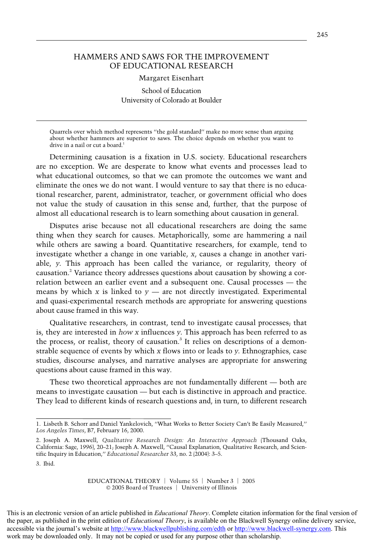# HAMMERS AND SAWS FOR THE IMPROVEMENT OF EDUCATIONAL RESEARCH

#### Margaret Eisenhart

School of Education University of Colorado at Boulder

Quarrels over which method represents ''the gold standard'' make no more sense than arguing about whether hammers are superior to saws. The choice depends on whether you want to drive in a nail or cut a board.<sup>1</sup>

Determining causation is a fixation in U.S. society. Educational researchers are no exception. We are desperate to know what events and processes lead to what educational outcomes, so that we can promote the outcomes we want and eliminate the ones we do not want. I would venture to say that there is no educational researcher, parent, administrator, teacher, or government official who does not value the study of causation in this sense and, further, that the purpose of almost all educational research is to learn something about causation in general.

Disputes arise because not all educational researchers are doing the same thing when they search for causes. Metaphorically, some are hammering a nail while others are sawing a board. Quantitative researchers, for example, tend to investigate whether a change in one variable, x, causes a change in another variable, y. This approach has been called the variance, or regularity, theory of causation.2 Variance theory addresses questions about causation by showing a correlation between an earlier event and a subsequent one. Causal processes — the means by which x is linked to  $y$  — are not directly investigated. Experimental and quasi-experimental research methods are appropriate for answering questions about cause framed in this way.

Qualitative researchers, in contrast, tend to investigate causal processes; that is, they are interested in how x influences y. This approach has been referred to as the process, or realist, theory of causation.<sup>3</sup> It relies on descriptions of a demonstrable sequence of events by which x flows into or leads to y. Ethnographies, case studies, discourse analyses, and narrative analyses are appropriate for answering questions about cause framed in this way.

These two theoretical approaches are not fundamentally different — both are means to investigate causation — but each is distinctive in approach and practice. They lead to different kinds of research questions and, in turn, to different research

EDUCATIONAL THEORY | Volume 55 | Number 3 | 2005  $© 2005 Board of Trustees | University of Illinois$ 

This is an electronic version of an article published in *Educational Theory*. Complete citation information for the final version of the paper, as published in the print edition of *Educational Theory*, is available on the Blackwell Synergy online delivery service, accessible via the journal's website at http://www.blackwellpublishing.com/edth or http://www.blackwell-synergy.com. This work may be downloaded only. It may not be copied or used for any purpose other than scholarship.

<sup>1.</sup> Lisbeth B. Schorr and Daniel Yankelovich, ''What Works to Better Society Can't Be Easily Measured,'' Los Angeles Times, B7, February 16, 2000.

<sup>2.</sup> Joseph A. Maxwell, Qualitative Research Design: An Interactive Approach (Thousand Oaks, California: Sage, 1996), 20–21; Joseph A. Maxwell, ''Causal Explanation, Qualitative Research, and Scientific Inquiry in Education,'' Educational Researcher 33, no. 2 (2004): 3–5. 3. Ibid.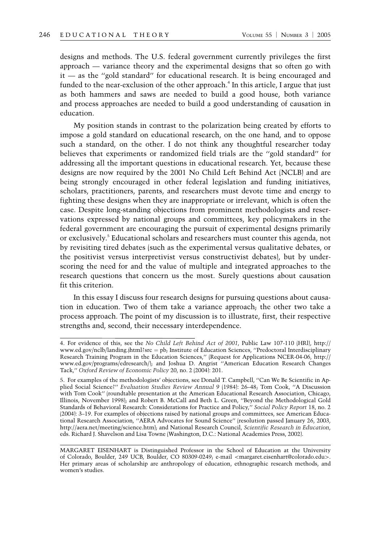designs and methods. The U.S. federal government currently privileges the first approach — variance theory and the experimental designs that so often go with it — as the ''gold standard'' for educational research. It is being encouraged and funded to the near-exclusion of the other approach.<sup>4</sup> In this article, I argue that just as both hammers and saws are needed to build a good house, both variance and process approaches are needed to build a good understanding of causation in education.

My position stands in contrast to the polarization being created by efforts to impose a gold standard on educational research, on the one hand, and to oppose such a standard, on the other. I do not think any thoughtful researcher today believes that experiments or randomized field trials are the ''gold standard'' for addressing all the important questions in educational research. Yet, because these designs are now required by the 2001 No Child Left Behind Act (NCLB) and are being strongly encouraged in other federal legislation and funding initiatives, scholars, practitioners, parents, and researchers must devote time and energy to fighting these designs when they are inappropriate or irrelevant, which is often the case. Despite long-standing objections from prominent methodologists and reservations expressed by national groups and committees, key policymakers in the federal government are encouraging the pursuit of experimental designs primarily or exclusively.<sup>5</sup> Educational scholars and researchers must counter this agenda, not by revisiting tired debates (such as the experimental versus qualitative debates, or the positivist versus interpretivist versus constructivist debates), but by underscoring the need for and the value of multiple and integrated approaches to the research questions that concern us the most. Surely questions about causation fit this criterion.

In this essay I discuss four research designs for pursuing questions about causation in education. Two of them take a variance approach; the other two take a process approach. The point of my discussion is to illustrate, first, their respective strengths and, second, their necessary interdependence.

<sup>4.</sup> For evidence of this, see the No Child Left Behind Act of 2001, Public Law 107-110 (HRl), http:// www.ed.gov/nclb/landing.jhtml?src = pb; Institute of Education Sciences, "Predoctoral Interdisciplinary Research Training Program in the Education Sciences,'' (Request for Applications NCER-04-06, http:// www.ed.gov/programs/edresearch/); and Joshua D. Angrist ''American Education Research Changes Tack,'' Oxford Review of Economic Policy 20, no. 2 (2004): 201.

<sup>5.</sup> For examples of the methodologists' objections, see Donald T. Campbell, ''Can We Be Scientific in Applied Social Science?'' Evaluation Studies Review Annual 9 (1984): 26–48; Tom Cook, ''A Discussion with Tom Cook'' (roundtable presentation at the American Educational Research Association, Chicago, Illinois, November 1998); and Robert B. McCall and Beth L. Green, ''Beyond the Methodological Gold Standards of Behavioral Research: Considerations for Practice and Policy,'' Social Policy Report 18, no. 2 (2004): 3–19. For examples of objections raised by national groups and committees, see American Educational Research Association, ''AERA Advocates for Sound Science'' (resolution passed January 26, 2003, http://aera.net/meeting/science.htm); and National Research Council, Scientific Research in Education, eds. Richard J. Shavelson and Lisa Towne (Washington, D.C.: National Academies Press, 2002).

MARGARET EISENHART is Distinguished Professor in the School of Education at the University of Colorado, Boulder, 249 UCB, Boulder, CO 80309-0249; e-mail <margaret.eisenhart@colorado.edu>. Her primary areas of scholarship are anthropology of education, ethnographic research methods, and women's studies.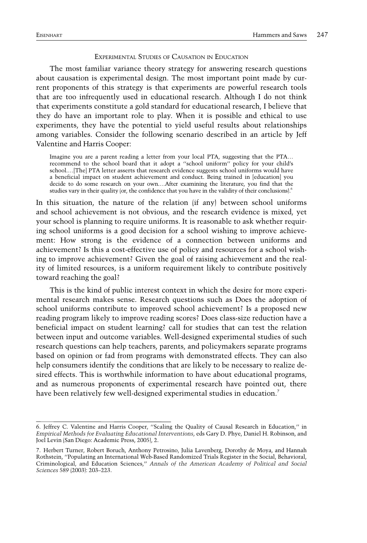## EXPERIMENTAL STUDIES OF CAUSATION IN EDUCATION

The most familiar variance theory strategy for answering research questions about causation is experimental design. The most important point made by current proponents of this strategy is that experiments are powerful research tools that are too infrequently used in educational research. Although I do not think that experiments constitute a gold standard for educational research, I believe that they do have an important role to play. When it is possible and ethical to use experiments, they have the potential to yield useful results about relationships among variables. Consider the following scenario described in an article by Jeff Valentine and Harris Cooper:

Imagine you are a parent reading a letter from your local PTA, suggesting that the PTA. recommend to the school board that it adopt a ''school uniform'' policy for your child's school..[The] PTA letter asserts that research evidence suggests school uniforms would have a beneficial impact on student achievement and conduct. Being trained in [education] you decide to do some research on your own..After examining the literature, you find that the studies vary in their quality (or, the confidence that you have in the validity of their conclusions).6

In this situation, the nature of the relation (if any) between school uniforms and school achievement is not obvious, and the research evidence is mixed, yet your school is planning to require uniforms. It is reasonable to ask whether requiring school uniforms is a good decision for a school wishing to improve achievement: How strong is the evidence of a connection between uniforms and achievement? Is this a cost-effective use of policy and resources for a school wishing to improve achievement? Given the goal of raising achievement and the reality of limited resources, is a uniform requirement likely to contribute positively toward reaching the goal?

This is the kind of public interest context in which the desire for more experimental research makes sense. Research questions such as Does the adoption of school uniforms contribute to improved school achievement? Is a proposed new reading program likely to improve reading scores? Does class-size reduction have a beneficial impact on student learning? call for studies that can test the relation between input and outcome variables. Well-designed experimental studies of such research questions can help teachers, parents, and policymakers separate programs based on opinion or fad from programs with demonstrated effects. They can also help consumers identify the conditions that are likely to be necessary to realize desired effects. This is worthwhile information to have about educational programs, and as numerous proponents of experimental research have pointed out, there have been relatively few well-designed experimental studies in education.<sup>7</sup>

<sup>6.</sup> Jeffrey C. Valentine and Harris Cooper, ''Scaling the Quality of Causal Research in Education,'' in Empirical Methods for Evaluating Educational Interventions, eds Gary D. Phye, Daniel H. Robinson, and Joel Levin (San Diego: Academic Press, 2005), 2.

<sup>7.</sup> Herbert Turner, Robert Boruch, Anthony Petrosino, Julia Lavenberg, Dorothy de Moya, and Hannah Rothstein, ''Populating an International Web-Based Randomized Trials Register in the Social, Behavioral, Criminological, and Education Sciences,'' Annals of the American Academy of Political and Social Sciences 589 (2003): 203–223.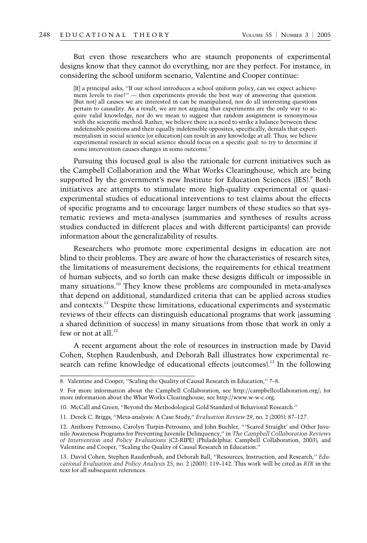But even those researchers who are staunch proponents of experimental designs know that they cannot do everything, nor are they perfect. For instance, in considering the school uniform scenario, Valentine and Cooper continue:

[If] a principal asks, ''If our school introduces a school uniform policy, can we expect achievement levels to rise?'' — then experiments provide the best way of answering that question. [But not] all causes we are interested in can be manipulated, nor do all interesting questions pertain to causality. As a result, we are not arguing that experiments are the only way to acquire valid knowledge, nor do we mean to suggest that random assignment is synonymous with the scientific method. Rather, we believe there is a need to strike a balance between these indefensible positions and their equally indefensible opposites, specifically, denials that experimentalism in social science [or education] can result in any knowledge at all. Thus, we believe experimental research in social science should focus on a specific goal: to try to determine if some intervention causes changes in some outcome.<sup>8</sup>

Pursuing this focused goal is also the rationale for current initiatives such as the Campbell Collaboration and the What Works Clearinghouse, which are being supported by the government's new Institute for Education Sciences (IES).<sup>9</sup> Both initiatives are attempts to stimulate more high-quality experimental or quasiexperimental studies of educational interventions to test claims about the effects of specific programs and to encourage larger numbers of these studies so that systematic reviews and meta-analyses (summaries and syntheses of results across studies conducted in different places and with different participants) can provide information about the generalizability of results.

Researchers who promote more experimental designs in education are not blind to their problems. They are aware of how the characteristics of research sites, the limitations of measurement decisions, the requirements for ethical treatment of human subjects, and so forth can make these designs difficult or impossible in many situations.<sup>10</sup> They know these problems are compounded in meta-analyses that depend on additional, standardized criteria that can be applied across studies and contexts.11 Despite these limitations, educational experiments and systematic reviews of their effects can distinguish educational programs that work (assuming a shared definition of success) in many situations from those that work in only a few or not at all. $12$ 

A recent argument about the role of resources in instruction made by David Cohen, Stephen Raudenbush, and Deborah Ball illustrates how experimental research can refine knowledge of educational effects (outcomes).<sup>13</sup> In the following

<sup>8.</sup> Valentine and Cooper, ''Scaling the Quality of Causal Research in Education,'' 7–8.

<sup>9.</sup> For more information about the Campbell Collaboration, see http://campbellcollaboration.org/; for more information about the What Works Clearinghouse, see http://www.w-w-c.org.

<sup>10.</sup> McCall and Green, ''Beyond the Methodological Gold Standard of Behavioral Research.''

<sup>11.</sup> Derek C. Briggs, ''Meta-analysis: A Case Study,'' Evaluation Review 29, no. 2 (2005): 87–127.

<sup>12.</sup> Anthony Petrosino, Carolyn Turpin-Petrosino, and John Buehler, '''Scared Straight' and Other Juvenile Awareness Programs for Preventing Juvenile Delinquency,'' in The Campbell Collaboration Reviews of Intervention and Policy Evaluations (C2-RIPE) (Philadelphia: Campbell Collaboration, 2003); and Valentine and Cooper, ''Scaling the Quality of Causal Research in Education.''

<sup>13.</sup> David Cohen, Stephen Raudenbush, and Deborah Ball, ''Resources, Instruction, and Research,'' Educational Evaluation and Policy Analysis 25, no. 2 (2003): 119–142. This work will be cited as RIR in the text for all subsequent references.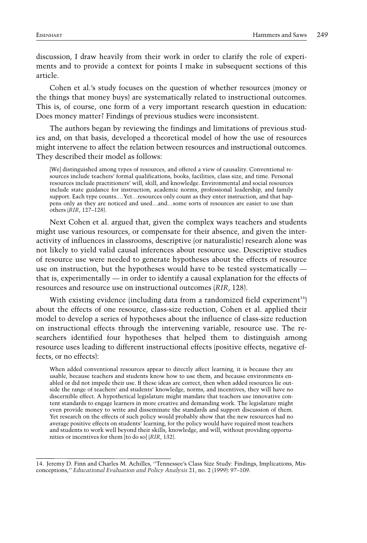discussion, I draw heavily from their work in order to clarify the role of experiments and to provide a context for points I make in subsequent sections of this article.

Cohen et al.'s study focuses on the question of whether resources (money or the things that money buys) are systematically related to instructional outcomes. This is, of course, one form of a very important research question in education: Does money matter? Findings of previous studies were inconsistent.

The authors began by reviewing the findings and limitations of previous studies and, on that basis, developed a theoretical model of how the use of resources might intervene to affect the relation between resources and instructional outcomes. They described their model as follows:

[We] distinguished among types of resources, and offered a view of causality. Conventional resources include teachers' formal qualifications, books, facilities, class size, and time. Personal resources include practitioners' will, skill, and knowledge. Environmental and social resources include state guidance for instruction, academic norms, professional leadership, and family support. Each type counts....Yet...resources only count as they enter instruction, and that happens only as they are noticed and used...and...some sorts of resources are easier to use than others (RIR, 127–128).

Next Cohen et al. argued that, given the complex ways teachers and students might use various resources, or compensate for their absence, and given the interactivity of influences in classrooms, descriptive (or naturalistic) research alone was not likely to yield valid causal inferences about resource use. Descriptive studies of resource use were needed to generate hypotheses about the effects of resource use on instruction, but the hypotheses would have to be tested systematically that is, experimentally — in order to identify a causal explanation for the effects of resources and resource use on instructional outcomes (RIR, 128).

With existing evidence (including data from a randomized field experiment<sup>14</sup>) about the effects of one resource, class-size reduction, Cohen et al. applied their model to develop a series of hypotheses about the influence of class-size reduction on instructional effects through the intervening variable, resource use. The researchers identified four hypotheses that helped them to distinguish among resource uses leading to different instructional effects (positive effects, negative effects, or no effects):

When added conventional resources appear to directly affect learning, it is because they are usable, because teachers and students know how to use them, and because environments enabled or did not impede their use. If these ideas are correct, then when added resources lie outside the range of teachers' and students' knowledge, norms, and incentives, they will have no discernible effect. A hypothetical legislature might mandate that teachers use innovative content standards to engage learners in more creative and demanding work. The legislature might even provide money to write and disseminate the standards and support discussion of them. Yet research on the effects of such policy would probably show that the new resources had no average positive effects on students' learning, for the policy would have required most teachers and students to work well beyond their skills, knowledge, and will, without providing opportunities or incentives for them [to do so] (RIR, 132).

<sup>14.</sup> Jeremy D. Finn and Charles M. Achilles, ''Tennessee's Class Size Study: Findings, Implications, Misconceptions,'' Educational Evaluation and Policy Analysis 21, no. 2 (1999): 97–109.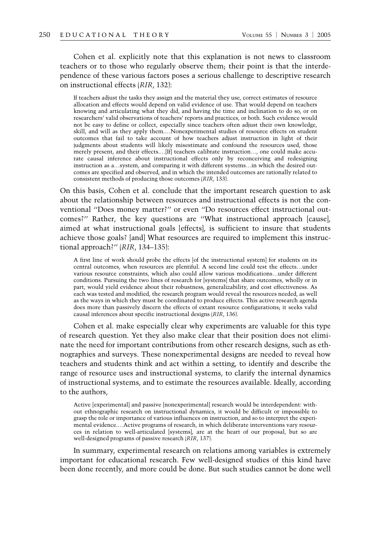Cohen et al. explicitly note that this explanation is not news to classroom teachers or to those who regularly observe them; their point is that the interdependence of these various factors poses a serious challenge to descriptive research on instructional effects (RIR, 132):

If teachers adjust the tasks they assign and the material they use, correct estimates of resource allocation and effects would depend on valid evidence of use. That would depend on teachers knowing and articulating what they did, and having the time and inclination to do so, or on researchers' valid observations of teachers' reports and practices, or both. Such evidence would not be easy to define or collect, especially since teachers often adjust their own knowledge, skill, and will as they apply them....Nonexperimental studies of resource effects on student outcomes that fail to take account of how teachers adjust instruction in light of their judgments about students will likely misestimate and confound the resources used, those merely present, and their effects....[If] teachers calibrate instruction..., one could make accurate causal inference about instructional effects only by reconceiving and redesigning instruction as a...system, and comparing it with different systems...in which the desired outcomes are specified and observed, and in which the intended outcomes are rationally related to consistent methods of producing those outcomes (RIR, 133).

On this basis, Cohen et al. conclude that the important research question to ask about the relationship between resources and instructional effects is not the conventional ''Does money matter?'' or even ''Do resources effect instructional outcomes?'' Rather, the key questions are ''What instructional approach [cause], aimed at what instructional goals [effects], is sufficient to insure that students achieve those goals? [and] What resources are required to implement this instructional approach?'' (RIR, 134–135):

A first line of work should probe the effects [of the instructional system] for students on its central outcomes, when resources are plentiful. A second line could test the effects...under various resource constraints, which also could allow various modifications...under different conditions. Pursuing the two lines of research for [systems] that share outcomes, wholly or in part, would yield evidence about their robustness, generalizability, and cost effectiveness. As each was tested and modified, the research program would reveal the resources needed, as well as the ways in which they must be coordinated to produce effects. This active research agenda does more than passively discern the effects of extant resource configurations; it seeks valid causal inferences about specific instructional designs (RIR, 136).

Cohen et al. make especially clear why experiments are valuable for this type of research question. Yet they also make clear that their position does not eliminate the need for important contributions from other research designs, such as ethnographies and surveys. These nonexperimental designs are needed to reveal how teachers and students think and act within a setting, to identify and describe the range of resource uses and instructional systems, to clarify the internal dynamics of instructional systems, and to estimate the resources available. Ideally, according to the authors,

Active [experimental] and passive [nonexperimental] research would be interdependent: without ethnographic research on instructional dynamics, it would be difficult or impossible to grasp the role or importance of various influences on instruction, and so to interpret the experimental evidence....Active programs of research, in which deliberate interventions vary resources in relation to well-articulated [systems], are at the heart of our proposal, but so are well-designed programs of passive research (RIR, 137).

In summary, experimental research on relations among variables is extremely important for educational research. Few well-designed studies of this kind have been done recently, and more could be done. But such studies cannot be done well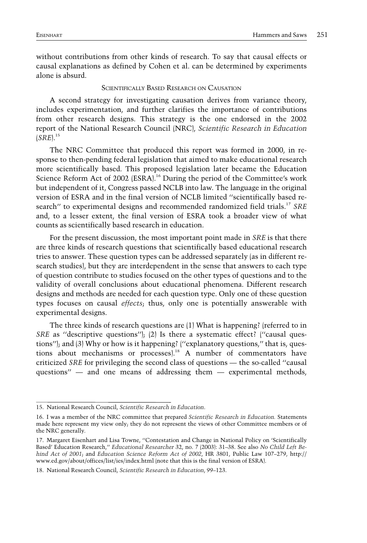without contributions from other kinds of research. To say that causal effects or causal explanations as defined by Cohen et al. can be determined by experiments alone is absurd.

## SCIENTIFICALLY BASED RESEARCH ON CAUSATION

A second strategy for investigating causation derives from variance theory, includes experimentation, and further clarifies the importance of contributions from other research designs. This strategy is the one endorsed in the 2002 report of the National Research Council (NRC), Scientific Research in Education  $(SRE)^{15}$ 

The NRC Committee that produced this report was formed in 2000, in response to then-pending federal legislation that aimed to make educational research more scientifically based. This proposed legislation later became the Education Science Reform Act of 2002 (ESRA).<sup>16</sup> During the period of the Committee's work but independent of it, Congress passed NCLB into law. The language in the original version of ESRA and in the final version of NCLB limited ''scientifically based research" to experimental designs and recommended randomized field trials.<sup>17</sup> SRE and, to a lesser extent, the final version of ESRA took a broader view of what counts as scientifically based research in education.

For the present discussion, the most important point made in SRE is that there are three kinds of research questions that scientifically based educational research tries to answer. These question types can be addressed separately (as in different research studies), but they are interdependent in the sense that answers to each type of question contribute to studies focused on the other types of questions and to the validity of overall conclusions about educational phenomena. Different research designs and methods are needed for each question type. Only one of these question types focuses on causal effects; thus, only one is potentially answerable with experimental designs.

The three kinds of research questions are (1) What is happening? (referred to in SRE as "descriptive questions"); (2) Is there a systematic effect? ("causal questions''); and (3) Why or how is it happening? (''explanatory questions,'' that is, questions about mechanisms or processes).<sup>18</sup> A number of commentators have criticized SRE for privileging the second class of questions — the so-called ''causal questions'' — and one means of addressing them — experimental methods,

<sup>15.</sup> National Research Council, Scientific Research in Education.

<sup>16.</sup> I was a member of the NRC committee that prepared Scientific Research in Education. Statements made here represent my view only; they do not represent the views of other Committee members or of the NRC generally.

<sup>17.</sup> Margaret Eisenhart and Lisa Towne, ''Contestation and Change in National Policy on 'Scientifically Based' Education Research," Educational Researcher 32, no. 7 (2003): 31-38. See also No Child Left Behind Act of 2001; and Education Science Reform Act of 2002, HR 3801, Public Law 107-279, http:// www.ed.gov/about/offices/list/ies/index.html (note that this is the final version of ESRA).

<sup>18.</sup> National Research Council, Scientific Research in Education, 99–123.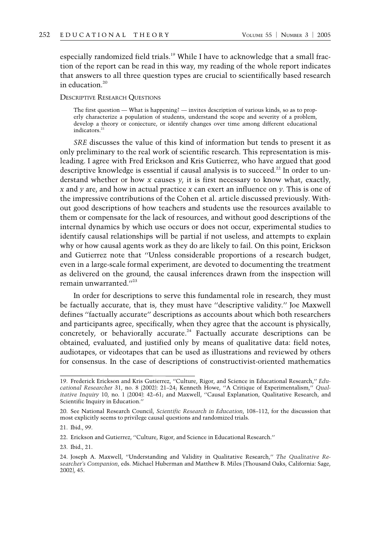especially randomized field trials.<sup>19</sup> While I have to acknowledge that a small fraction of the report can be read in this way, my reading of the whole report indicates that answers to all three question types are crucial to scientifically based research in education.<sup>20</sup>

#### DESCRIPTIVE RESEARCH QUESTIONS

The first question — What is happening? — invites description of various kinds, so as to properly characterize a population of students, understand the scope and severity of a problem, develop a theory or conjecture, or identify changes over time among different educational indicators.<sup>21</sup>

SRE discusses the value of this kind of information but tends to present it as only preliminary to the real work of scientific research. This representation is misleading. I agree with Fred Erickson and Kris Gutierrez, who have argued that good descriptive knowledge is essential if causal analysis is to succeed.<sup>22</sup> In order to understand whether or how x causes y, it is first necessary to know what, exactly, x and y are, and how in actual practice x can exert an influence on y. This is one of the impressive contributions of the Cohen et al. article discussed previously. Without good descriptions of how teachers and students use the resources available to them or compensate for the lack of resources, and without good descriptions of the internal dynamics by which use occurs or does not occur, experimental studies to identify causal relationships will be partial if not useless, and attempts to explain why or how causal agents work as they do are likely to fail. On this point, Erickson and Gutierrez note that ''Unless considerable proportions of a research budget, even in a large-scale formal experiment, are devoted to documenting the treatment as delivered on the ground, the causal inferences drawn from the inspection will remain unwarranted."<sup>23</sup>

In order for descriptions to serve this fundamental role in research, they must be factually accurate, that is, they must have ''descriptive validity.'' Joe Maxwell defines ''factually accurate'' descriptions as accounts about which both researchers and participants agree, specifically, when they agree that the account is physically, concretely, or behaviorally accurate.<sup>24</sup> Factually accurate descriptions can be obtained, evaluated, and justified only by means of qualitative data: field notes, audiotapes, or videotapes that can be used as illustrations and reviewed by others for consensus. In the case of descriptions of constructivist-oriented mathematics

<sup>19.</sup> Frederick Erickson and Kris Gutierrez, ''Culture, Rigor, and Science in Educational Research,'' Educational Researcher 31, no. 8 (2002): 21–24; Kenneth Howe, ''A Critique of Experimentalism,'' Qualitative Inquiry 10, no. 1 (2004): 42–61; and Maxwell, ''Causal Explanation, Qualitative Research, and Scientific Inquiry in Education.''

<sup>20.</sup> See National Research Council, Scientific Research in Education, 108–112, for the discussion that most explicitly seems to privilege causal questions and randomized trials.

<sup>21.</sup> Ibid., 99.

<sup>22.</sup> Erickson and Gutierrez, ''Culture, Rigor, and Science in Educational Research.''

<sup>23.</sup> Ibid., 21.

<sup>24.</sup> Joseph A. Maxwell, "Understanding and Validity in Qualitative Research," The Qualitative Researcher's Companion, eds. Michael Huberman and Matthew B. Miles (Thousand Oaks, California: Sage, 2002), 45.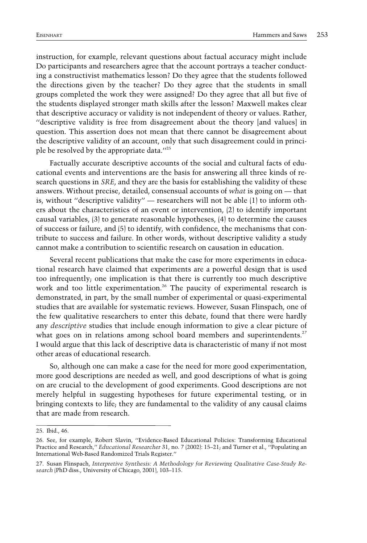instruction, for example, relevant questions about factual accuracy might include Do participants and researchers agree that the account portrays a teacher conducting a constructivist mathematics lesson? Do they agree that the students followed the directions given by the teacher? Do they agree that the students in small groups completed the work they were assigned? Do they agree that all but five of the students displayed stronger math skills after the lesson? Maxwell makes clear that descriptive accuracy or validity is not independent of theory or values. Rather, ''descriptive validity is free from disagreement about the theory [and values] in question. This assertion does not mean that there cannot be disagreement about the descriptive validity of an account, only that such disagreement could in principle be resolved by the appropriate data. $1^{25}$ 

Factually accurate descriptive accounts of the social and cultural facts of educational events and interventions are the basis for answering all three kinds of research questions in SRE, and they are the basis for establishing the validity of these answers. Without precise, detailed, consensual accounts of what is going on — that is, without ''descriptive validity'' — researchers will not be able (1) to inform others about the characteristics of an event or intervention, (2) to identify important causal variables, (3) to generate reasonable hypotheses, (4) to determine the causes of success or failure, and (5) to identify, with confidence, the mechanisms that contribute to success and failure. In other words, without descriptive validity a study cannot make a contribution to scientific research on causation in education.

Several recent publications that make the case for more experiments in educational research have claimed that experiments are a powerful design that is used too infrequently; one implication is that there is currently too much descriptive work and too little experimentation.<sup>26</sup> The paucity of experimental research is demonstrated, in part, by the small number of experimental or quasi-experimental studies that are available for systematic reviews. However, Susan Flinspach, one of the few qualitative researchers to enter this debate, found that there were hardly any descriptive studies that include enough information to give a clear picture of what goes on in relations among school board members and superintendents.<sup>27</sup> I would argue that this lack of descriptive data is characteristic of many if not most other areas of educational research.

So, although one can make a case for the need for more good experimentation, more good descriptions are needed as well, and good descriptions of what is going on are crucial to the development of good experiments. Good descriptions are not merely helpful in suggesting hypotheses for future experimental testing, or in bringing contexts to life; they are fundamental to the validity of any causal claims that are made from research.

<sup>25.</sup> Ibid., 46.

<sup>26.</sup> See, for example, Robert Slavin, ''Evidence-Based Educational Policies: Transforming Educational Practice and Research,'' Educational Researcher 31, no. 7 (2002): 15–21; and Turner et al., ''Populating an International Web-Based Randomized Trials Register.''

<sup>27.</sup> Susan Flinspach, Interpretive Synthesis: A Methodology for Reviewing Qualitative Case-Study Research (PhD diss., University of Chicago, 2001), 103–115.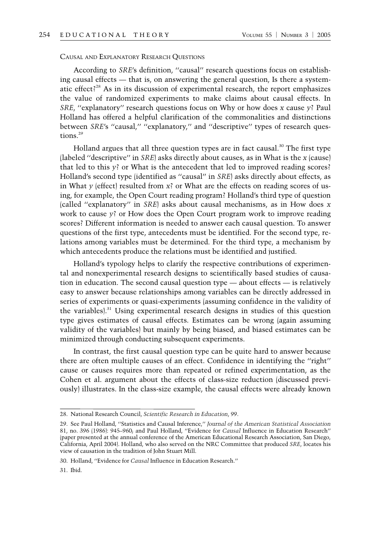## CAUSAL AND EXPLANATORY RESEARCH QUESTIONS

According to SRE's definition, ''causal'' research questions focus on establishing causal effects — that is, on answering the general question, Is there a systematic effect?<sup>28</sup> As in its discussion of experimental research, the report emphasizes the value of randomized experiments to make claims about causal effects. In SRE, ''explanatory'' research questions focus on Why or how does x cause y? Paul Holland has offered a helpful clarification of the commonalities and distinctions between SRE's "causal," "explanatory," and "descriptive" types of research questions.<sup>29</sup>

Holland argues that all three question types are in fact causal.<sup>30</sup> The first type (labeled "descriptive" in  $SRE$ ) asks directly about causes, as in What is the x (cause) that led to this y? or What is the antecedent that led to improved reading scores? Holland's second type (identified as ''causal'' in SRE) asks directly about effects, as in What y (effect) resulted from x? or What are the effects on reading scores of using, for example, the Open Court reading program? Holland's third type of question (called ''explanatory'' in SRE) asks about causal mechanisms, as in How does x work to cause y? or How does the Open Court program work to improve reading scores? Different information is needed to answer each causal question. To answer questions of the first type, antecedents must be identified. For the second type, relations among variables must be determined. For the third type, a mechanism by which antecedents produce the relations must be identified and justified.

Holland's typology helps to clarify the respective contributions of experimental and nonexperimental research designs to scientifically based studies of causation in education. The second causal question type — about effects — is relatively easy to answer because relationships among variables can be directly addressed in series of experiments or quasi-experiments (assuming confidence in the validity of the variables). $31$  Using experimental research designs in studies of this question type gives estimates of causal effects. Estimates can be wrong (again assuming validity of the variables) but mainly by being biased, and biased estimates can be minimized through conducting subsequent experiments.

In contrast, the first causal question type can be quite hard to answer because there are often multiple causes of an effect. Confidence in identifying the ''right'' cause or causes requires more than repeated or refined experimentation, as the Cohen et al. argument about the effects of class-size reduction (discussed previously) illustrates. In the class-size example, the causal effects were already known

<sup>28.</sup> National Research Council, Scientific Research in Education, 99.

<sup>29.</sup> See Paul Holland, "Statistics and Causal Inference," Journal of the American Statistical Association 81, no. 396 (1986): 945–960; and Paul Holland, ''Evidence for Causal Influence in Education Research'' (paper presented at the annual conference of the American Educational Research Association, San Diego, California, April 2004). Holland, who also served on the NRC Committee that produced SRE, locates his view of causation in the tradition of John Stuart Mill.

<sup>30.</sup> Holland, ''Evidence for Causal Influence in Education Research.''

<sup>31.</sup> Ibid.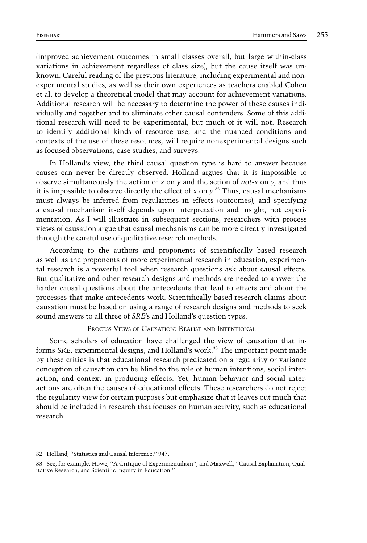(improved achievement outcomes in small classes overall, but large within-class variations in achievement regardless of class size), but the cause itself was unknown. Careful reading of the previous literature, including experimental and nonexperimental studies, as well as their own experiences as teachers enabled Cohen et al. to develop a theoretical model that may account for achievement variations. Additional research will be necessary to determine the power of these causes individually and together and to eliminate other causal contenders. Some of this additional research will need to be experimental, but much of it will not. Research to identify additional kinds of resource use, and the nuanced conditions and contexts of the use of these resources, will require nonexperimental designs such as focused observations, case studies, and surveys.

In Holland's view, the third causal question type is hard to answer because causes can never be directly observed. Holland argues that it is impossible to observe simultaneously the action of x on y and the action of *not-x* on y, and thus it is impossible to observe directly the effect of x on  $y$ .<sup>32</sup> Thus, causal mechanisms must always be inferred from regularities in effects (outcomes), and specifying a causal mechanism itself depends upon interpretation and insight, not experimentation. As I will illustrate in subsequent sections, researchers with process views of causation argue that causal mechanisms can be more directly investigated through the careful use of qualitative research methods.

According to the authors and proponents of scientifically based research as well as the proponents of more experimental research in education, experimental research is a powerful tool when research questions ask about causal effects. But qualitative and other research designs and methods are needed to answer the harder causal questions about the antecedents that lead to effects and about the processes that make antecedents work. Scientifically based research claims about causation must be based on using a range of research designs and methods to seek sound answers to all three of SRE's and Holland's question types.

# PROCESS VIEWS OF CAUSATION: REALIST AND INTENTIONAL

Some scholars of education have challenged the view of causation that informs SRE, experimental designs, and Holland's work.<sup>33</sup> The important point made by these critics is that educational research predicated on a regularity or variance conception of causation can be blind to the role of human intentions, social interaction, and context in producing effects. Yet, human behavior and social interactions are often the causes of educational effects. These researchers do not reject the regularity view for certain purposes but emphasize that it leaves out much that should be included in research that focuses on human activity, such as educational research.

<sup>32.</sup> Holland, ''Statistics and Causal Inference,'' 947.

<sup>33.</sup> See, for example, Howe, ''A Critique of Experimentalism''; and Maxwell, ''Causal Explanation, Qualitative Research, and Scientific Inquiry in Education.''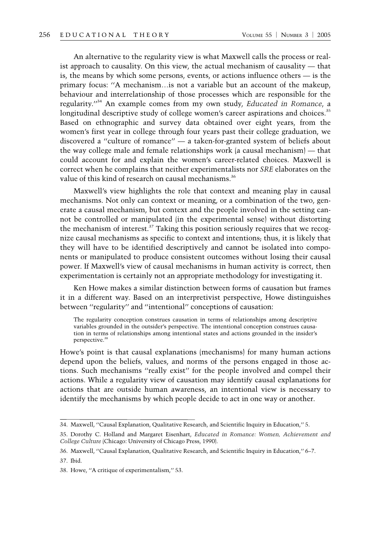An alternative to the regularity view is what Maxwell calls the process or realist approach to causality. On this view, the actual mechanism of causality — that is, the means by which some persons, events, or actions influence others — is the primary focus: ''A mechanism.is not a variable but an account of the makeup, behaviour and interrelationship of those processes which are responsible for the regularity.<sup>''34</sup> An example comes from my own study, Educated in Romance, a longitudinal descriptive study of college women's career aspirations and choices.<sup>35</sup> Based on ethnographic and survey data obtained over eight years, from the women's first year in college through four years past their college graduation, we discovered a ''culture of romance'' — a taken-for-granted system of beliefs about the way college male and female relationships work (a causal mechanism) — that could account for and explain the women's career-related choices. Maxwell is correct when he complains that neither experimentalists nor SRE elaborates on the value of this kind of research on causal mechanisms.<sup>36</sup>

Maxwell's view highlights the role that context and meaning play in causal mechanisms. Not only can context or meaning, or a combination of the two, generate a causal mechanism, but context and the people involved in the setting cannot be controlled or manipulated (in the experimental sense) without distorting the mechanism of interest. $37$  Taking this position seriously requires that we recognize causal mechanisms as specific to context and intentions; thus, it is likely that they will have to be identified descriptively and cannot be isolated into components or manipulated to produce consistent outcomes without losing their causal power. If Maxwell's view of causal mechanisms in human activity is correct, then experimentation is certainly not an appropriate methodology for investigating it.

Ken Howe makes a similar distinction between forms of causation but frames it in a different way. Based on an interpretivist perspective, Howe distinguishes between ''regularity'' and ''intentional'' conceptions of causation:

The regularity conception construes causation in terms of relationships among descriptive variables grounded in the outsider's perspective. The intentional conception construes causation in terms of relationships among intentional states and actions grounded in the insider's perspective.<sup>3</sup>

Howe's point is that causal explanations (mechanisms) for many human actions depend upon the beliefs, values, and norms of the persons engaged in those actions. Such mechanisms ''really exist'' for the people involved and compel their actions. While a regularity view of causation may identify causal explanations for actions that are outside human awareness, an intentional view is necessary to identify the mechanisms by which people decide to act in one way or another.

<sup>34.</sup> Maxwell, ''Causal Explanation, Qualitative Research, and Scientific Inquiry in Education,'' 5.

<sup>35.</sup> Dorothy C. Holland and Margaret Eisenhart, Educated in Romance: Women, Achievement and College Culture (Chicago: University of Chicago Press, 1990).

<sup>36.</sup> Maxwell, ''Causal Explanation, Qualitative Research, and Scientific Inquiry in Education,'' 6–7.

<sup>37.</sup> Ibid.

<sup>38.</sup> Howe, ''A critique of experimentalism,'' 53.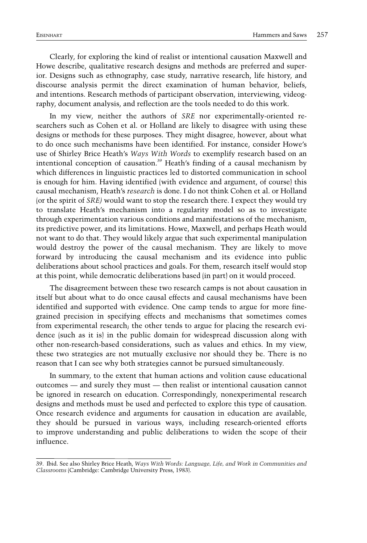Clearly, for exploring the kind of realist or intentional causation Maxwell and Howe describe, qualitative research designs and methods are preferred and superior. Designs such as ethnography, case study, narrative research, life history, and discourse analysis permit the direct examination of human behavior, beliefs, and intentions. Research methods of participant observation, interviewing, videography, document analysis, and reflection are the tools needed to do this work.

In my view, neither the authors of SRE nor experimentally-oriented researchers such as Cohen et al. or Holland are likely to disagree with using these designs or methods for these purposes. They might disagree, however, about what to do once such mechanisms have been identified. For instance, consider Howe's use of Shirley Brice Heath's Ways With Words to exemplify research based on an intentional conception of causation.<sup>39</sup> Heath's finding of a causal mechanism by which differences in linguistic practices led to distorted communication in school is enough for him. Having identified (with evidence and argument, of course) this causal mechanism, Heath's research is done. I do not think Cohen et al. or Holland (or the spirit of SRE) would want to stop the research there. I expect they would try to translate Heath's mechanism into a regularity model so as to investigate through experimentation various conditions and manifestations of the mechanism, its predictive power, and its limitations. Howe, Maxwell, and perhaps Heath would not want to do that. They would likely argue that such experimental manipulation would destroy the power of the causal mechanism. They are likely to move forward by introducing the causal mechanism and its evidence into public deliberations about school practices and goals. For them, research itself would stop at this point, while democratic deliberations based (in part) on it would proceed.

The disagreement between these two research camps is not about causation in itself but about what to do once causal effects and causal mechanisms have been identified and supported with evidence. One camp tends to argue for more finegrained precision in specifying effects and mechanisms that sometimes comes from experimental research; the other tends to argue for placing the research evidence (such as it is) in the public domain for widespread discussion along with other non-research-based considerations, such as values and ethics. In my view, these two strategies are not mutually exclusive nor should they be. There is no reason that I can see why both strategies cannot be pursued simultaneously.

In summary, to the extent that human actions and volition cause educational outcomes — and surely they must — then realist or intentional causation cannot be ignored in research on education. Correspondingly, nonexperimental research designs and methods must be used and perfected to explore this type of causation. Once research evidence and arguments for causation in education are available, they should be pursued in various ways, including research-oriented efforts to improve understanding and public deliberations to widen the scope of their influence.

<sup>39.</sup> Ibid. See also Shirley Brice Heath, Ways With Words: Language, Life, and Work in Communities and Classrooms (Cambridge: Cambridge University Press, 1983).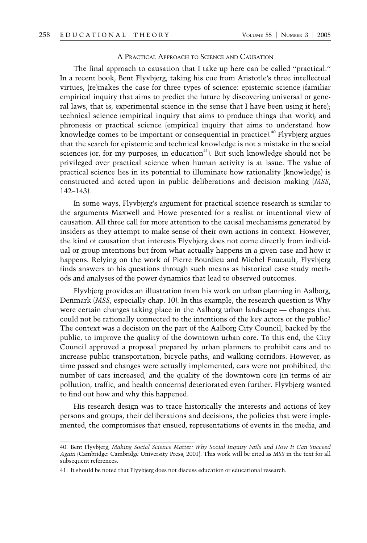# A PRACTICAL APPROACH TO SCIENCE AND CAUSATION

The final approach to causation that I take up here can be called ''practical.'' In a recent book, Bent Flyvbjerg, taking his cue from Aristotle's three intellectual virtues, (re)makes the case for three types of science: epistemic science (familiar empirical inquiry that aims to predict the future by discovering universal or general laws, that is, experimental science in the sense that I have been using it here); technical science (empirical inquiry that aims to produce things that work); and phronesis or practical science (empirical inquiry that aims to understand how knowledge comes to be important or consequential in practice).<sup>40</sup> Flyvbjerg argues that the search for epistemic and technical knowledge is not a mistake in the social sciences (or, for my purposes, in education<sup>41</sup>). But such knowledge should not be privileged over practical science when human activity is at issue. The value of practical science lies in its potential to illuminate how rationality (knowledge) is constructed and acted upon in public deliberations and decision making (MSS, 142–143).

In some ways, Flyvbjerg's argument for practical science research is similar to the arguments Maxwell and Howe presented for a realist or intentional view of causation. All three call for more attention to the causal mechanisms generated by insiders as they attempt to make sense of their own actions in context. However, the kind of causation that interests Flyvbjerg does not come directly from individual or group intentions but from what actually happens in a given case and how it happens. Relying on the work of Pierre Bourdieu and Michel Foucault, Flyvbjerg finds answers to his questions through such means as historical case study methods and analyses of the power dynamics that lead to observed outcomes.

Flyvbjerg provides an illustration from his work on urban planning in Aalborg, Denmark (MSS, especially chap. 10). In this example, the research question is Why were certain changes taking place in the Aalborg urban landscape — changes that could not be rationally connected to the intentions of the key actors or the public? The context was a decision on the part of the Aalborg City Council, backed by the public, to improve the quality of the downtown urban core. To this end, the City Council approved a proposal prepared by urban planners to prohibit cars and to increase public transportation, bicycle paths, and walking corridors. However, as time passed and changes were actually implemented, cars were not prohibited, the number of cars increased, and the quality of the downtown core (in terms of air pollution, traffic, and health concerns) deteriorated even further. Flyvbjerg wanted to find out how and why this happened.

His research design was to trace historically the interests and actions of key persons and groups, their deliberations and decisions, the policies that were implemented, the compromises that ensued, representations of events in the media, and

<sup>40.</sup> Bent Flyvbjerg, Making Social Science Matter: Why Social Inquiry Fails and How It Can Succeed Again (Cambridge: Cambridge University Press, 2001). This work will be cited as MSS in the text for all subsequent references.

<sup>41.</sup> It should be noted that Flyvbjerg does not discuss education or educational research.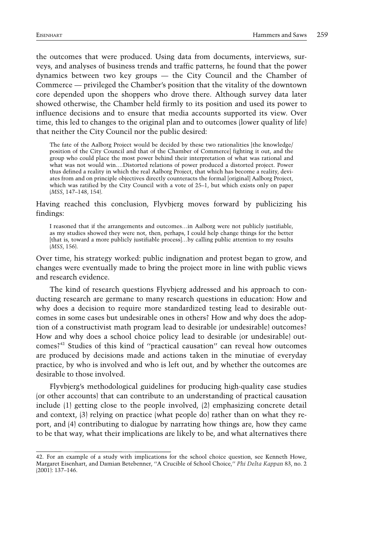the outcomes that were produced. Using data from documents, interviews, surveys, and analyses of business trends and traffic patterns, he found that the power dynamics between two key groups — the City Council and the Chamber of Commerce — privileged the Chamber's position that the vitality of the downtown core depended upon the shoppers who drove there. Although survey data later showed otherwise, the Chamber held firmly to its position and used its power to influence decisions and to ensure that media accounts supported its view. Over time, this led to changes to the original plan and to outcomes (lower quality of life) that neither the City Council nor the public desired:

The fate of the Aalborg Project would be decided by these two rationalities [the knowledge/ position of the City Council and that of the Chamber of Commerce] fighting it out, and the group who could place the most power behind their interpretation of what was rational and what was not would win....Distorted relations of power produced a distorted project. Power thus defined a reality in which the real Aalborg Project, that which has become a reality, deviates from and on principle objectives directly counteracts the formal [original] Aalborg Project, which was ratified by the City Council with a vote of 25–1, but which exists only on paper (MSS, 147–148, 154).

Having reached this conclusion, Flyvbjerg moves forward by publicizing his findings:

I reasoned that if the arrangements and outcomes.in Aalborg were not publicly justifiable, as my studies showed they were not, then, perhaps, I could help change things for the better [that is, toward a more publicly justifiable process]...by calling public attention to my results (MSS, 156).

Over time, his strategy worked: public indignation and protest began to grow, and changes were eventually made to bring the project more in line with public views and research evidence.

The kind of research questions Flyvbjerg addressed and his approach to conducting research are germane to many research questions in education: How and why does a decision to require more standardized testing lead to desirable outcomes in some cases but undesirable ones in others? How and why does the adoption of a constructivist math program lead to desirable (or undesirable) outcomes? How and why does a school choice policy lead to desirable (or undesirable) outcomes?42 Studies of this kind of ''practical causation'' can reveal how outcomes are produced by decisions made and actions taken in the minutiae of everyday practice, by who is involved and who is left out, and by whether the outcomes are desirable to those involved.

Flyvbjerg's methodological guidelines for producing high-quality case studies (or other accounts) that can contribute to an understanding of practical causation include (1) getting close to the people involved, (2) emphasizing concrete detail and context, (3) relying on practice (what people do) rather than on what they report, and (4) contributing to dialogue by narrating how things are, how they came to be that way, what their implications are likely to be, and what alternatives there

<sup>42.</sup> For an example of a study with implications for the school choice question, see Kenneth Howe, Margaret Eisenhart, and Damian Betebenner, ''A Crucible of School Choice,'' Phi Delta Kappan 83, no. 2 (2001): 137–146.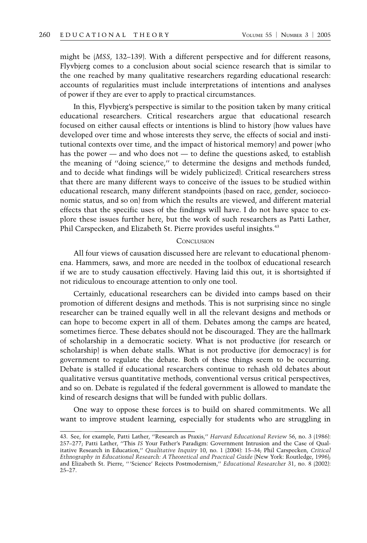might be (MSS, 132–139). With a different perspective and for different reasons, Flyvbjerg comes to a conclusion about social science research that is similar to the one reached by many qualitative researchers regarding educational research: accounts of regularities must include interpretations of intentions and analyses of power if they are ever to apply to practical circumstances.

In this, Flyvbjerg's perspective is similar to the position taken by many critical educational researchers. Critical researchers argue that educational research focused on either causal effects or intentions is blind to history (how values have developed over time and whose interests they serve, the effects of social and institutional contexts over time, and the impact of historical memory) and power (who has the power — and who does not — to define the questions asked, to establish the meaning of ''doing science,'' to determine the designs and methods funded, and to decide what findings will be widely publicized). Critical researchers stress that there are many different ways to conceive of the issues to be studied within educational research, many different standpoints (based on race, gender, socioeconomic status, and so on) from which the results are viewed, and different material effects that the specific uses of the findings will have. I do not have space to explore these issues further here, but the work of such researchers as Patti Lather, Phil Carspecken, and Elizabeth St. Pierre provides useful insights.<sup>43</sup>

# **CONCLUSION**

All four views of causation discussed here are relevant to educational phenomena. Hammers, saws, and more are needed in the toolbox of educational research if we are to study causation effectively. Having laid this out, it is shortsighted if not ridiculous to encourage attention to only one tool.

Certainly, educational researchers can be divided into camps based on their promotion of different designs and methods. This is not surprising since no single researcher can be trained equally well in all the relevant designs and methods or can hope to become expert in all of them. Debates among the camps are heated, sometimes fierce. These debates should not be discouraged. They are the hallmark of scholarship in a democratic society. What is not productive (for research or scholarship) is when debate stalls. What is not productive (for democracy) is for government to regulate the debate. Both of these things seem to be occurring. Debate is stalled if educational researchers continue to rehash old debates about qualitative versus quantitative methods, conventional versus critical perspectives, and so on. Debate is regulated if the federal government is allowed to mandate the kind of research designs that will be funded with public dollars.

One way to oppose these forces is to build on shared commitments. We all want to improve student learning, especially for students who are struggling in

<sup>43.</sup> See, for example, Patti Lather, ''Research as Praxis,'' Harvard Educational Review 56, no. 3 (1986): 257–277; Patti Lather, ''This IS Your Father's Paradigm: Government Intrusion and the Case of Qualitative Research in Education,'' Qualitative Inquiry 10, no. 1 (2004): 15–34; Phil Carspecken, Critical Ethnography in Educational Research: A Theoretical and Practical Guide (New York: Routledge, 1996); and Elizabeth St. Pierre, '''Science' Rejects Postmodernism,'' Educational Researcher 31, no. 8 (2002): 25–27.